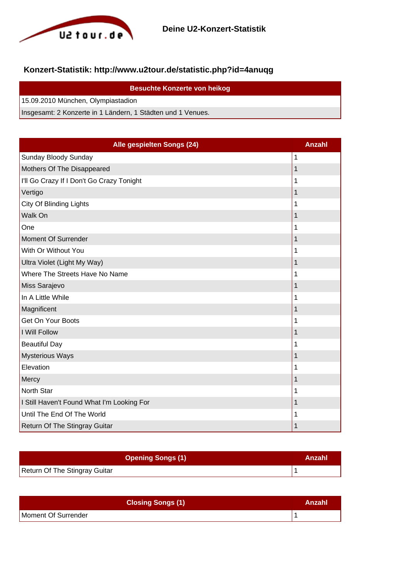

## **Konzert-Statistik: http://www.u2tour.de/statistic.php?id=4anuqg**

| <b>Besuchte Konzerte von heikog</b>                         |
|-------------------------------------------------------------|
| 15.09.2010 München, Olympiastadion                          |
| Insgesamt: 2 Konzerte in 1 Ländern, 1 Städten und 1 Venues. |

| Alle gespielten Songs (24)                 | <b>Anzahl</b> |
|--------------------------------------------|---------------|
| Sunday Bloody Sunday                       | 1             |
| Mothers Of The Disappeared                 | 1             |
| I'll Go Crazy If I Don't Go Crazy Tonight  | 1             |
| Vertigo                                    | 1             |
| <b>City Of Blinding Lights</b>             | 1             |
| Walk On                                    | 1             |
| One                                        | 1             |
| <b>Moment Of Surrender</b>                 | 1             |
| With Or Without You                        | 1             |
| Ultra Violet (Light My Way)                | 1             |
| Where The Streets Have No Name             | 1             |
| Miss Sarajevo                              | 1             |
| In A Little While                          | 1             |
| Magnificent                                | 1             |
| Get On Your Boots                          | 1             |
| I Will Follow                              | 1             |
| <b>Beautiful Day</b>                       | 1             |
| <b>Mysterious Ways</b>                     | 1             |
| Elevation                                  | 1             |
| Mercy                                      | 1             |
| <b>North Star</b>                          | 1             |
| I Still Haven't Found What I'm Looking For | 1             |
| Until The End Of The World                 | 1             |
| Return Of The Stingray Guitar              | 1             |

| <b>Opening Songs (1)</b>      | Anzahl |
|-------------------------------|--------|
| Return Of The Stingray Guitar |        |

| <b>Closing Songs (1)</b> | Anzahl |
|--------------------------|--------|
| Moment Of Surrender      |        |